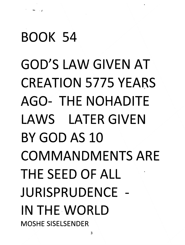# **BOOK 54**

·- .. ,

**GOD'S LAW GIVEN AT CREATION 5775 YEARS** . **AGO-** THE NOHADITE **LAWS LATER GIVEN BY GOD AS 10 COMMANDMENTS ARE THE SEED OF ALL JURISPRUDENCE - IN** THE·WORLD **MOSHE SISELSENDER**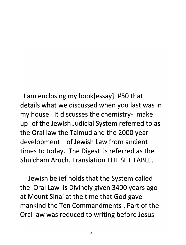I am enclosing my book[essay] #50 that details what we discussed when you last was in my house. It discusses the chemistry- make up- of the Jewish Judicial System referred to as the Oral law the Talmud and the 2000 year development of Jewish Law from ancient times to today. The Digest is referred as the Shulcham Aruch. Translation THE SET TABLE.

Jewish belief holds that the System called the Oral Law is Divinely given 3400 years ago at Mount Sinai at the time that God gave mankind the Ten Commandments. Part of the Oral law was reduced to writing before Jesus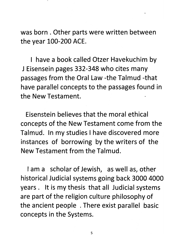was born. Other parts were written between the year 100-200 ACE.

I have a book called Otzer Havekuchim by J Eisensein pages 332-348 who cites many passages from the Oral Law -the Talmud -that have parallel concepts to the passages found in the New Testament.

Eisenstein believes that the moral ethical concepts of the New Testament come from the Talmud. In my studies I have discovered more instances of borrowing by the writers of the New Testament from the Talmud.

I am a scholar of Jewish, as well as, other historical Judicial systems going back 3000 4000 years. It is my thesis that all Judicial systems are part of the religion culture philosophy of the ancient people . There exist parallel basic concepts in the Systems.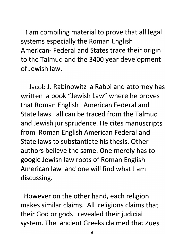I am compiling material to prove that all legal systems especially the Roman English American- Federal and States trace their origin to the Talmud and the 3400 year development of Jewish law.

Jacob J. Rabinowitz a Rabbi and attorney has written a book "Jewish Law" where he proves that Roman English American Federal and State laws all can be traced from the Talmud and Jewish jurisprudence. He cites manuscripts from Roman English American Federal and State laws to substantiate his thesis. Other authors believe the same. One merely has to google Jewish law roots of Roman English American law and one will find what I am discussing.

However on the other hand, each religion makes similar claims. All religions claims that their God or gods revealed their judicial system. The ancient Greeks claimed that Zues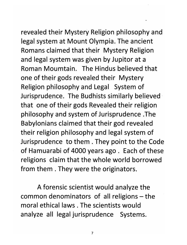revealed their Mystery Religion philosophy and legal system at Mount Olympia. The ancient Romans claimed that their Mystery Religion and legal system was given by Jupitor at a Roman Moumtain. The Hindus believed that one of their gods revealed their Mystery Religion philosophy and Legal System of Jurisprudence. The Budhists similarly believed' that one of their gods Revealed their religion philosophy and system of Jurisprudence .The Babylonians claimed that their god revealed their religion philosophy and legal system of Jurisprudence to them. They point to the Code of Hamuarabi of 4000 years ago. Each of these religions claim that the whole world borrowed from them. They were the originators.

A forensic scientist would analyze the common denominators of all religions  $-$  the moral ethical laws . The scientists would analyze all legal jurisprudence Systems.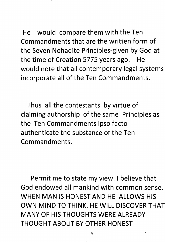He would compare them with the Ten Commandments that are the written form of the Seven Nohadite Principles-given by God at the time of Creation 5775 years ago. He would note that all contemporary legal systems incorporate all of the Ten Commandments.

Thus all the contestants by virtue of claiming authorship of the same Principles as the Ten Commandments ipso facto authenticate the substance of the Ten Commandments.

Permit me to state my view. I believe that God endowed all mankind with common sense. WHEN MAN IS HONEST AND HE ALLOWS HIS OWN MIND TO THINK. HE WILL DISCOVER THAT MANY OF HIS THOUGHTS WERE ALREADY THOUGHT ABOUT BY OTHER HONEST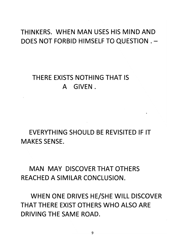# THINKERS. WHEN MAN USES HIS MIND AND DOES NOT FORBID HIMSELF TO QUESTION.-

# THERE EXISTS NOTHING THAT IS A GIVEN.

EVERYTHING SHOULD BE REVISITED IF IT MAKES SENSE.

MAN MAY DISCOVER THAT OTHERS REACHED A SIMILAR CONCLUSION.

WHEN ONE DRIVES HE/SHE WILL DISCOVER THAT THERE EXIST OTHERS WHO ALSO ARE DRIVING THE SAME ROAD.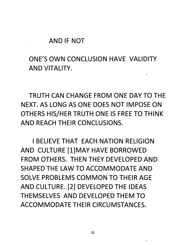#### AND IF NOT

# ONE'S OWN CONCLUSION HAVE VALIDITY AND VITALITY.

TRUTH CAN CHANGE FROM ONE DAY TO THE NEXT. AS LONG AS ONE DOES NOT IMPOSE ON OTHERS HIS/HER TRUTH ONE IS FREE TO THINK AND REACH THEIR CONCLUSIONS.

I BELIEVE THAT EACH NATION RELIGION AND CULTURE [1]MAY HAVE BORROWED FROM OTHERS. THEN THEY DEVELOPED AND SHAPED THE LAW TO ACCOMMODATE AND SOLVE PROBLEMS COMMON TO THEIR AGE AND CULTURE. [2] DEVELOPED THE IDEAS THEMSELVES AND DEVELOPED THEM TO ACCOMMODATE THEIR CIRCUMSTANCES.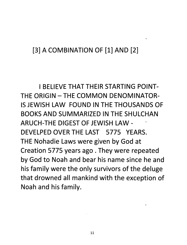# [3] A COMBINATION OF [1] AND [2]

I BELIEVE THAT THEIR STARTING POINT-THE ORIGIN - THE COMMON DENOMINATOR-IS JEWISH LAW FOUND IN THE THOUSANDS OF BOOKS AND SUMMARIZED IN THE SHULCHAN ARUCH-THE DIGEST OF JEWISH LAW - DEVELPED OVER THE LAST 5775 YEARS. THE Nohadie Laws were given by God at Creation 5775 years ago. They were repeated by God to Noah and bear his name since he and his family were the only survivors of the deluge that drowned all mankind with the exception of Noah and his family.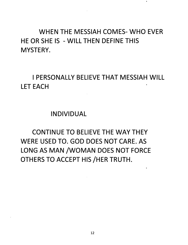# WHEN THE MESSIAH COMES- WHO EVER HE OR SHE IS - WILL THEN DEFINE THIS MYSTERY.

I PERSONALLY BELIEVE THAT MESSIAH WILL LET EACH

### INDIVIDUAL

CONTINUE TO BELIEVE THE WAY THEY WERE USED TO. GOD DOES NOT CARE. AS LONG AS MAN /WOMAN DOES NOT FORCE OTHERS TO ACCEPT HIS /HER TRUTH.